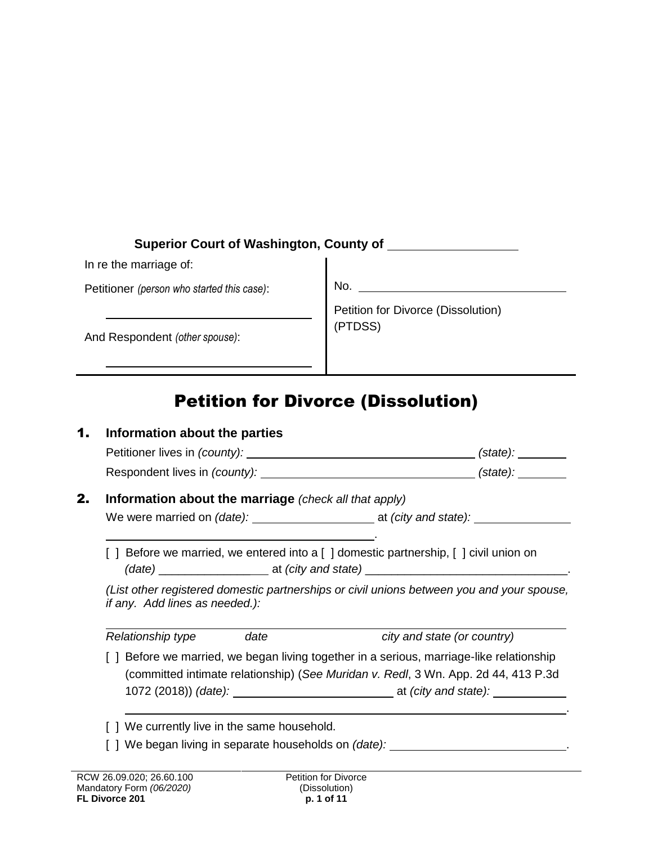# **Superior Court of Washington, County of**

In re the marriage of:

Petitioner *(person who started this case)*:

No.

And Respondent *(other spouse)*:

Petition for Divorce (Dissolution) (PTDSS)

# Petition for Divorce (Dissolution)

| 1. | Information about the parties                                                                                                                                                  |      |                                                                                            |  |  |
|----|--------------------------------------------------------------------------------------------------------------------------------------------------------------------------------|------|--------------------------------------------------------------------------------------------|--|--|
|    |                                                                                                                                                                                |      |                                                                                            |  |  |
|    |                                                                                                                                                                                |      |                                                                                            |  |  |
| 2. | Information about the marriage (check all that apply)                                                                                                                          |      |                                                                                            |  |  |
|    |                                                                                                                                                                                |      |                                                                                            |  |  |
|    | [ ] Before we married, we entered into a [ ] domestic partnership, [ ] civil union on                                                                                          |      |                                                                                            |  |  |
|    | (List other registered domestic partnerships or civil unions between you and your spouse,<br>if any. Add lines as needed.):                                                    |      |                                                                                            |  |  |
|    | Relationship type                                                                                                                                                              | date | city and state (or country)                                                                |  |  |
|    | [ ] Before we married, we began living together in a serious, marriage-like relationship<br>(committed intimate relationship) (See Muridan v. Redl, 3 Wn. App. 2d 44, 413 P.3d |      |                                                                                            |  |  |
|    | [ ] We currently live in the same household.                                                                                                                                   |      |                                                                                            |  |  |
|    |                                                                                                                                                                                |      | [ ] We began living in separate households on <i>(date):</i> _____________________________ |  |  |
|    |                                                                                                                                                                                |      |                                                                                            |  |  |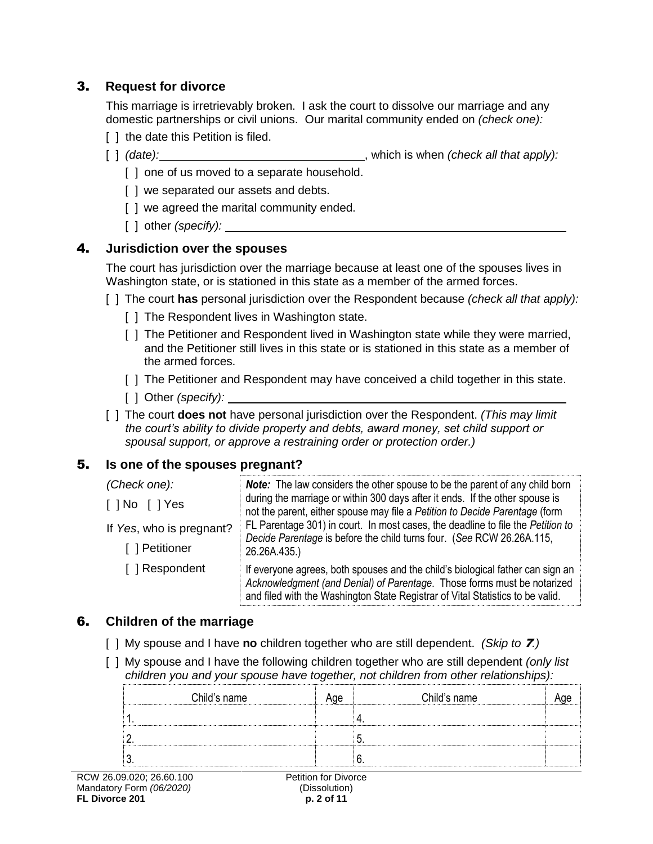# 3. **Request for divorce**

This marriage is irretrievably broken. I ask the court to dissolve our marriage and any domestic partnerships or civil unions. Our marital community ended on *(check one):*

- [ ] the date this Petition is filed.
- [ ] *(date):* , which is when *(check all that apply):*
	- [ ] one of us moved to a separate household.
	- [] we separated our assets and debts.
	- [ ] we agreed the marital community ended.
	- [ ] other *(specify):*

## 4. **Jurisdiction over the spouses**

The court has jurisdiction over the marriage because at least one of the spouses lives in Washington state, or is stationed in this state as a member of the armed forces.

- [ ] The court **has** personal jurisdiction over the Respondent because *(check all that apply):*
	- [ ] The Respondent lives in Washington state.
	- [ ] The Petitioner and Respondent lived in Washington state while they were married, and the Petitioner still lives in this state or is stationed in this state as a member of the armed forces.
	- [ ] The Petitioner and Respondent may have conceived a child together in this state.
	- [ ] Other *(specify):*
- [ ] The court **does not** have personal jurisdiction over the Respondent. *(This may limit the court's ability to divide property and debts, award money, set child support or spousal support, or approve a restraining order or protection order.)*

# 5. **Is one of the spouses pregnant?**

| (Check one):                               | <b>Note:</b> The law considers the other spouse to be the parent of any child born                                                                                                                                                          |  |
|--------------------------------------------|---------------------------------------------------------------------------------------------------------------------------------------------------------------------------------------------------------------------------------------------|--|
| I I No I I Yes                             | during the marriage or within 300 days after it ends. If the other spouse is<br>not the parent, either spouse may file a Petition to Decide Parentage (form                                                                                 |  |
| If Yes, who is pregnant?<br>[ ] Petitioner | FL Parentage 301) in court. In most cases, the deadline to file the Petition to<br>Decide Parentage is before the child turns four. (See RCW 26.26A.115,<br>26.26A.435.)                                                                    |  |
| [ ] Respondent                             | If everyone agrees, both spouses and the child's biological father can sign an<br>Acknowledgment (and Denial) of Parentage. Those forms must be notarized<br>and filed with the Washington State Registrar of Vital Statistics to be valid. |  |

## 6. **Children of the marriage**

- [ ] My spouse and I have **no** children together who are still dependent. *(Skip to* 7*.)*
- [ ] My spouse and I have the following children together who are still dependent *(only list children you and your spouse have together, not children from other relationships):*

| Child's name | Age | Child's name |  |
|--------------|-----|--------------|--|
|              |     |              |  |
|              |     |              |  |
|              |     |              |  |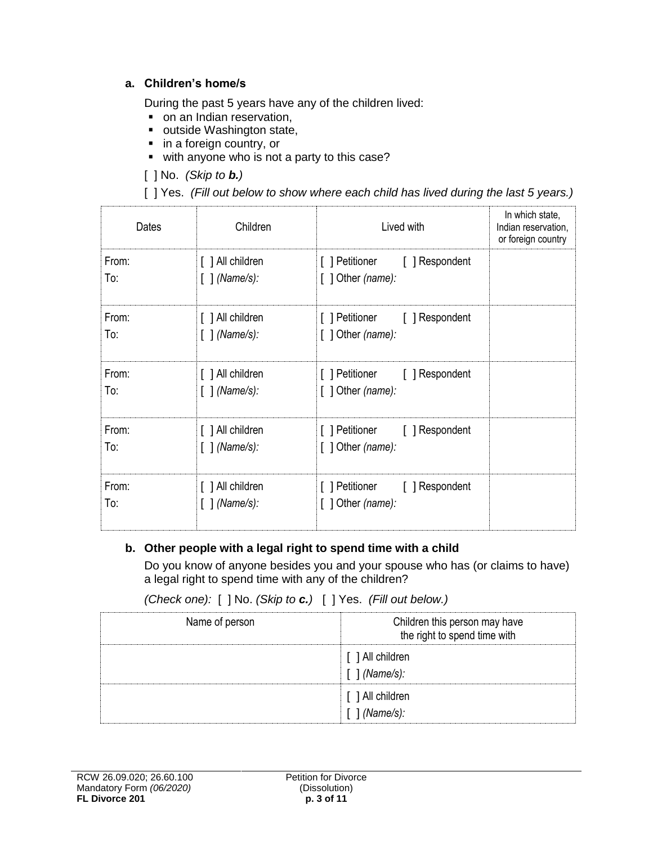#### **a. Children's home/s**

During the past 5 years have any of the children lived:

- on an Indian reservation,
- outside Washington state,
- **in a foreign country, or**
- with anyone who is not a party to this case?
- [ ] No. *(Skip to b.)*

[ ] Yes. *(Fill out below to show where each child has lived during the last 5 years.)*

| Dates        | Children                                        | Lived with                                                   | In which state,<br>Indian reservation,<br>or foreign country |
|--------------|-------------------------------------------------|--------------------------------------------------------------|--------------------------------------------------------------|
| From:<br>To: | [ ] All children<br>$[ ]$ (Name/s):             | [ ] Petitioner<br>[ ] Respondent<br>$[$ ] Other (name):      |                                                              |
| From:<br>To: | [ ] All children<br>$[ ]$ (Name/s):             | [ ] Petitioner<br>[ ] Respondent<br>$[$ ] Other (name):      |                                                              |
| From:<br>To: | [ ] All children<br>$\lceil$ $\lceil$ (Name/s): | [ ] Respondent<br>[ ] Petitioner<br>$[$ ] Other (name):      |                                                              |
| From:<br>To: | [ ] All children<br>$[ ]$ (Name/s):             | [ ] Petitioner<br>[ ] Respondent<br>[ $\int$ ] Other (name): |                                                              |
| From:<br>To: | [ ] All children<br>$[ ]$ (Name/s):             | [ ] Petitioner<br>[ ] Respondent<br>[ $] Other (name):$      |                                                              |

#### **b. Other people with a legal right to spend time with a child**

Do you know of anyone besides you and your spouse who has (or claims to have) a legal right to spend time with any of the children?

| Name of person | Children this person may have<br>the right to spend time with |
|----------------|---------------------------------------------------------------|
|                | [ ] All children<br>$[ ]$ (Name/s):                           |
|                | [ ] All children<br>$[$ $]$ (Name/s):                         |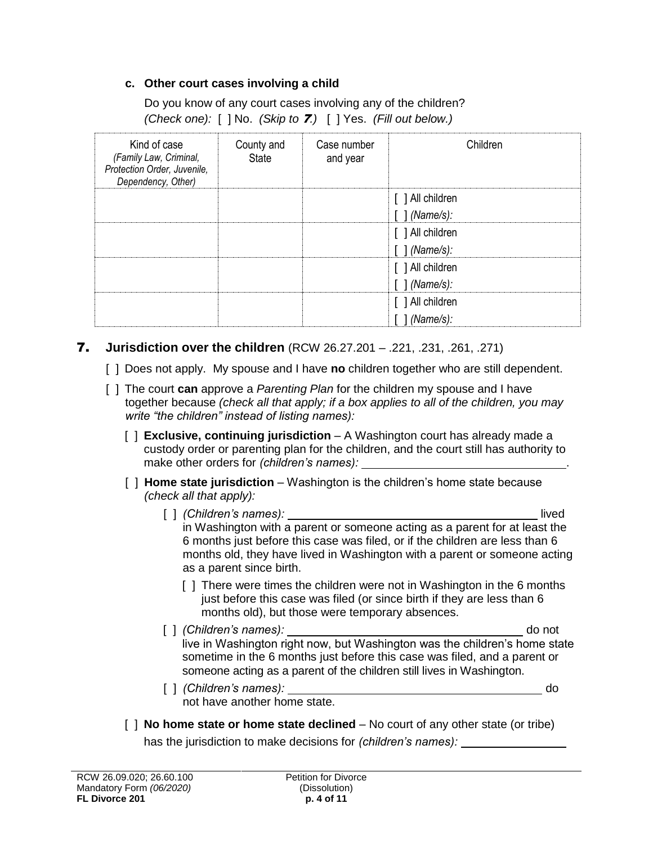#### **c. Other court cases involving a child**

Do you know of any court cases involving any of the children? *(Check one):* [ ] No. *(Skip to* 7*.)* [ ] Yes. *(Fill out below.)*

| Kind of case<br>(Family Law, Criminal,<br>Protection Order, Juvenile,<br>Dependency, Other) | County and<br><b>State</b> | Case number<br>and year | Children                    |
|---------------------------------------------------------------------------------------------|----------------------------|-------------------------|-----------------------------|
|                                                                                             |                            |                         | [ ] All children            |
|                                                                                             |                            |                         | [ ] (Name/s):               |
|                                                                                             |                            |                         | [ ] All children            |
|                                                                                             |                            |                         | [ ] (Name/s):               |
|                                                                                             |                            |                         | [ ] All children            |
|                                                                                             |                            |                         | $[ ]$ (Name/s):             |
|                                                                                             |                            |                         | [ ] All children            |
|                                                                                             |                            |                         | $\lceil$ $\lceil$ (Name/s): |

#### 7. **Jurisdiction over the children** (RCW 26.27.201 – .221, .231, .261, .271)

- [ ] Does not apply. My spouse and I have **no** children together who are still dependent.
- [ ] The court **can** approve a *Parenting Plan* for the children my spouse and I have together because *(check all that apply; if a box applies to all of the children, you may write "the children" instead of listing names):*
	- [ ] **Exclusive, continuing jurisdiction**  A Washington court has already made a custody order or parenting plan for the children, and the court still has authority to make other orders for *(children's names):* .
	- [ ] **Home state jurisdiction** Washington is the children's home state because *(check all that apply):* 
		- [ ] *(Children's names):* lived in Washington with a parent or someone acting as a parent for at least the 6 months just before this case was filed, or if the children are less than 6 months old, they have lived in Washington with a parent or someone acting as a parent since birth.
			- [] There were times the children were not in Washington in the 6 months just before this case was filed (or since birth if they are less than 6 months old), but those were temporary absences.
		- [ ] *(Children's names):* do not live in Washington right now, but Washington was the children's home state sometime in the 6 months just before this case was filed, and a parent or someone acting as a parent of the children still lives in Washington.
		- [ ] *(Children's names):* do not have another home state.
	- [ ] **No home state or home state declined** No court of any other state (or tribe) has the jurisdiction to make decisions for *(children's names):*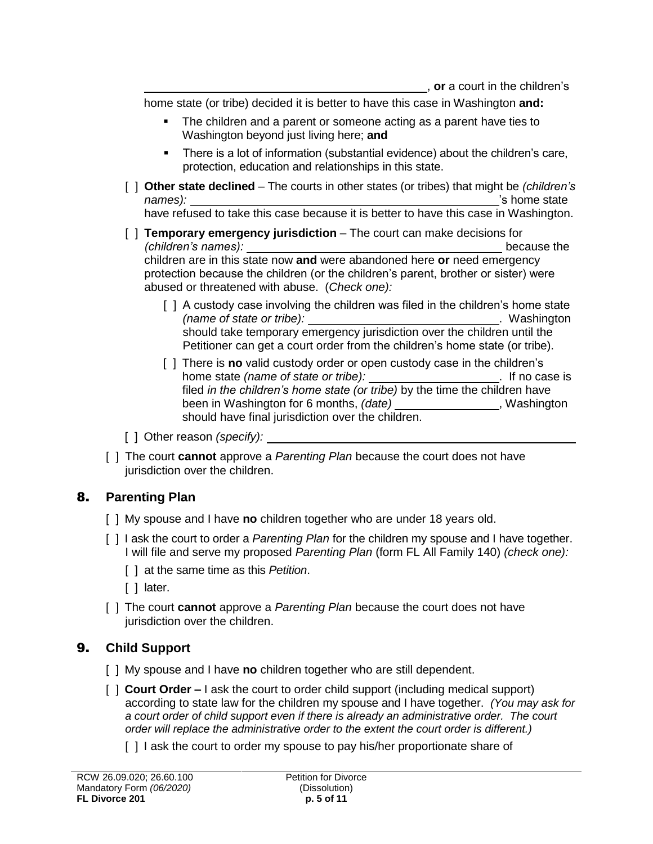home state (or tribe) decided it is better to have this case in Washington **and:**

- The children and a parent or someone acting as a parent have ties to Washington beyond just living here; **and**
- There is a lot of information (substantial evidence) about the children's care, protection, education and relationships in this state.
- [ ] **Other state declined** The courts in other states (or tribes) that might be *(children's names):*  $\qquad$   $\qquad$   $\qquad$   $\qquad$   $\qquad$   $\qquad$   $\qquad$   $\qquad$   $\qquad$   $\qquad$   $\qquad$   $\qquad$   $\qquad$   $\qquad$   $\qquad$   $\qquad$   $\qquad$   $\qquad$   $\qquad$   $\qquad$   $\qquad$   $\qquad$   $\qquad$   $\qquad$   $\qquad$   $\qquad$   $\qquad$   $\qquad$   $\qquad$   $\qquad$   $\qquad$   $\qquad$   $\qquad$   $\qquad$   $\qquad$

have refused to take this case because it is better to have this case in Washington.

- [ ] **Temporary emergency jurisdiction** The court can make decisions for *(children's names):* because the children are in this state now **and** were abandoned here **or** need emergency protection because the children (or the children's parent, brother or sister) were abused or threatened with abuse. (*Check one):*
	- [ ] A custody case involving the children was filed in the children's home state *(name of state or tribe):* . Washington should take temporary emergency jurisdiction over the children until the Petitioner can get a court order from the children's home state (or tribe).
	- [ ] There is **no** valid custody order or open custody case in the children's home state *(name of state or tribe):* . If no case is filed *in the children's home state (or tribe)* by the time the children have been in Washington for 6 months, (date) \_\_\_\_\_\_\_\_\_\_\_\_\_\_\_\_\_, Washington should have final jurisdiction over the children.
- [ ] Other reason *(specify):*
- [ ] The court **cannot** approve a *Parenting Plan* because the court does not have jurisdiction over the children.

## 8. **Parenting Plan**

- [ ] My spouse and I have **no** children together who are under 18 years old.
- [ ] I ask the court to order a *Parenting Plan* for the children my spouse and I have together. I will file and serve my proposed *Parenting Plan* (form FL All Family 140) *(check one):*
	- [ ] at the same time as this *Petition*.
	- [ ] later.
- [ ] The court **cannot** approve a *Parenting Plan* because the court does not have jurisdiction over the children.

## 9. **Child Support**

- [ ] My spouse and I have **no** children together who are still dependent.
- [ ] **Court Order –** I ask the court to order child support (including medical support) according to state law for the children my spouse and I have together. *(You may ask for a court order of child support even if there is already an administrative order. The court order will replace the administrative order to the extent the court order is different.)*
	- [ ] I ask the court to order my spouse to pay his/her proportionate share of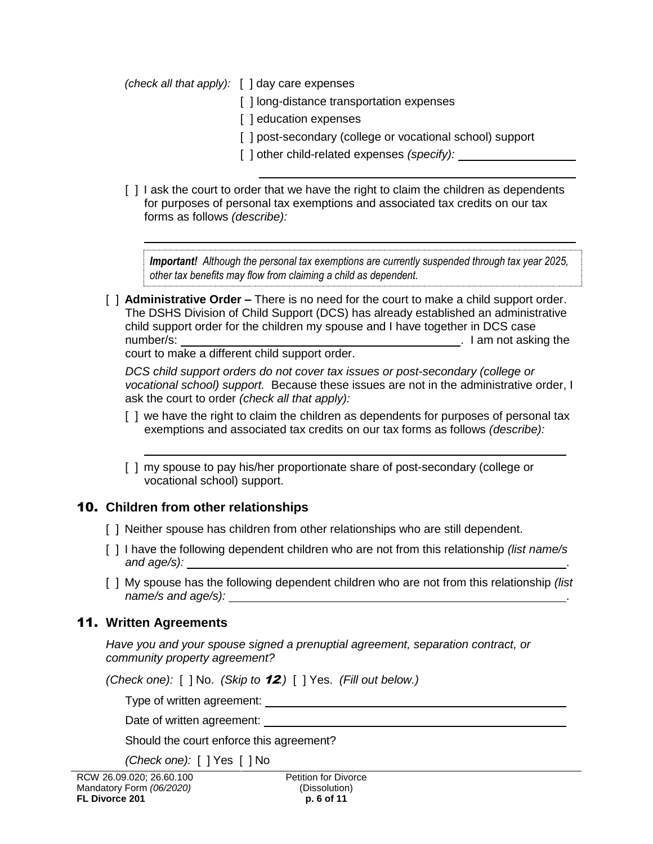*(check all that apply):* [ ] day care expenses

- [] long-distance transportation expenses
- [ ] education expenses
- [ ] post-secondary (college or vocational school) support
- [ ] other child-related expenses *(specify):*
- [ ] I ask the court to order that we have the right to claim the children as dependents for purposes of personal tax exemptions and associated tax credits on our tax forms as follows *(describe):*

*Important! Although the personal tax exemptions are currently suspended through tax year 2025, other tax benefits may flow from claiming a child as dependent.*

[ ] **Administrative Order –** There is no need for the court to make a child support order. The DSHS Division of Child Support (DCS) has already established an administrative child support order for the children my spouse and I have together in DCS case number/s: . I am not asking the

court to make a different child support order.

*DCS child support orders do not cover tax issues or post-secondary (college or vocational school) support.* Because these issues are not in the administrative order, I ask the court to order *(check all that apply):*

- [ ] we have the right to claim the children as dependents for purposes of personal tax exemptions and associated tax credits on our tax forms as follows *(describe):*
- [ ] my spouse to pay his/her proportionate share of post-secondary (college or vocational school) support.

# 10. **Children from other relationships**

- [ ] Neither spouse has children from other relationships who are still dependent.
- [ ] I have the following dependent children who are not from this relationship *(list name/s and age/s):* .
- [ ] My spouse has the following dependent children who are not from this relationship *(list name/s and age/s):* .

# 11. **Written Agreements**

*Have you and your spouse signed a prenuptial agreement, separation contract, or community property agreement?*

*(Check one):* [ ] No. *(Skip to* 12*.)* [ ] Yes. *(Fill out below.)*

Type of written agreement:

Date of written agreement: \_\_\_\_

Should the court enforce this agreement?

*(Check one):* [ ] Yes [ ] No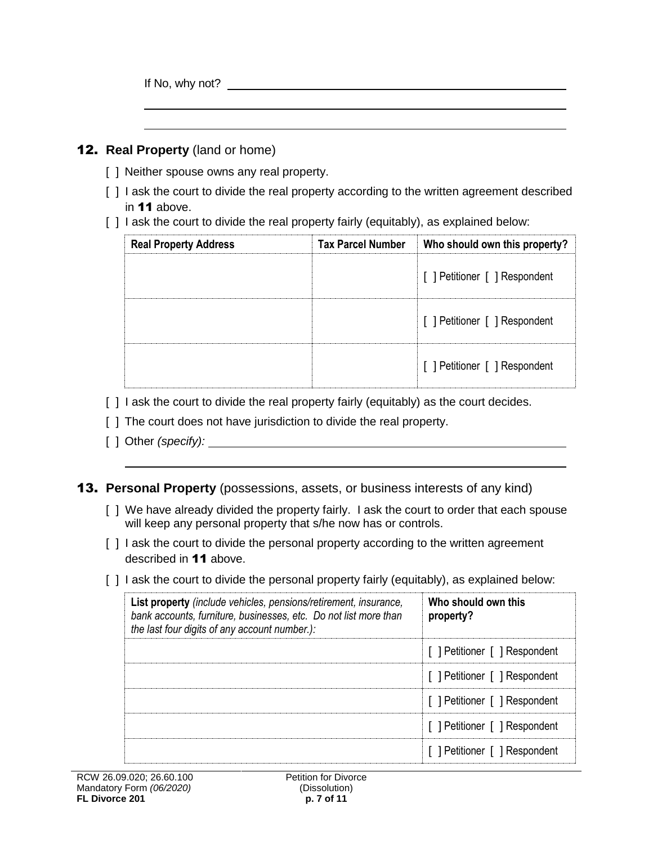If No, why not?

#### 12. **Real Property** (land or home)

- [ ] Neither spouse owns any real property.
- [ ] I ask the court to divide the real property according to the written agreement described in 11 above.
- [ ] I ask the court to divide the real property fairly (equitably), as explained below:

| <b>Real Property Address</b> | <b>Tax Parcel Number</b> | Who should own this property? |
|------------------------------|--------------------------|-------------------------------|
|                              |                          | [ ] Petitioner [ ] Respondent |
|                              |                          | [ ] Petitioner [ ] Respondent |
|                              |                          | [ ] Petitioner [ ] Respondent |

- [ ] I ask the court to divide the real property fairly (equitably) as the court decides.
- [ ] The court does not have jurisdiction to divide the real property.
- [ ] Other *(specify):*
- 13. **Personal Property** (possessions, assets, or business interests of any kind)
	- [ ] We have already divided the property fairly. I ask the court to order that each spouse will keep any personal property that s/he now has or controls.
	- [ ] I ask the court to divide the personal property according to the written agreement described in 11 above.
	- [ ] I ask the court to divide the personal property fairly (equitably), as explained below:

| List property (include vehicles, pensions/retirement, insurance,<br>bank accounts, furniture, businesses, etc. Do not list more than<br>the last four digits of any account number.): | Who should own this<br>property? |
|---------------------------------------------------------------------------------------------------------------------------------------------------------------------------------------|----------------------------------|
|                                                                                                                                                                                       | [ ] Petitioner [ ] Respondent    |
|                                                                                                                                                                                       | [ ] Petitioner [ ] Respondent    |
|                                                                                                                                                                                       | [ ] Petitioner [ ] Respondent    |
|                                                                                                                                                                                       | [ ] Petitioner [ ] Respondent    |
|                                                                                                                                                                                       | [ ] Petitioner [ ] Respondent    |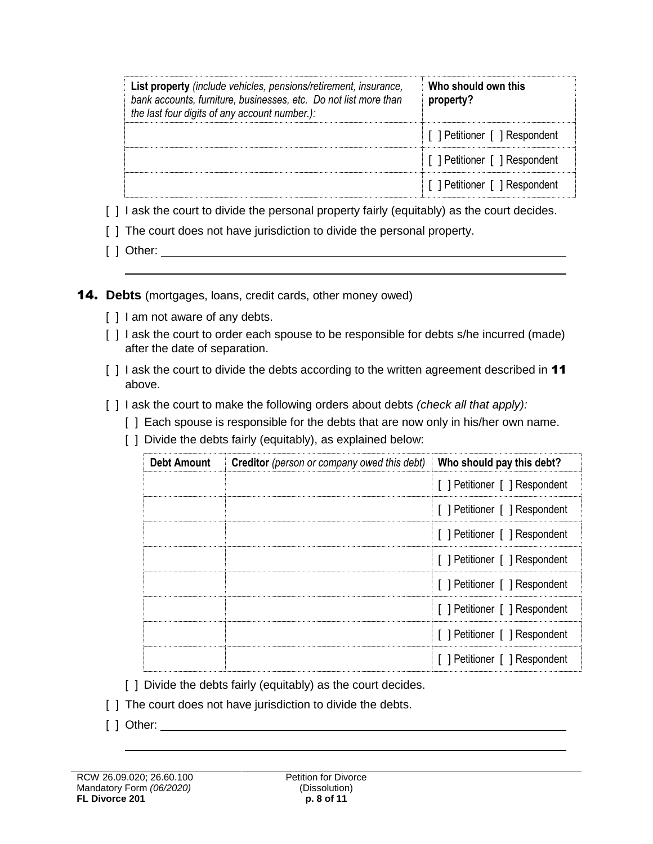| List property (include vehicles, pensions/retirement, insurance,<br>bank accounts, furniture, businesses, etc. Do not list more than<br>the last four digits of any account number.): | Who should own this<br>property? |
|---------------------------------------------------------------------------------------------------------------------------------------------------------------------------------------|----------------------------------|
|                                                                                                                                                                                       | [ ] Petitioner [ ] Respondent    |
|                                                                                                                                                                                       | [ ] Petitioner [ ] Respondent    |
|                                                                                                                                                                                       | [ ] Petitioner [ ] Respondent    |

- [ ] I ask the court to divide the personal property fairly (equitably) as the court decides.
- [ ] The court does not have jurisdiction to divide the personal property.
- [ ] Other: \_\_\_\_\_\_\_\_\_\_\_

14. **Debts** (mortgages, loans, credit cards, other money owed)

- [ ] I am not aware of any debts.
- [] I ask the court to order each spouse to be responsible for debts s/he incurred (made) after the date of separation.
- [ ] I ask the court to divide the debts according to the written agreement described in 11 above.
- [ ] I ask the court to make the following orders about debts *(check all that apply):*
	- [] Each spouse is responsible for the debts that are now only in his/her own name.
	- [ ] Divide the debts fairly (equitably), as explained below:

| Debt Amount | <b>Creditor</b> (person or company owed this debt) | Who should pay this debt?     |
|-------------|----------------------------------------------------|-------------------------------|
|             |                                                    | [ ] Petitioner [ ] Respondent |
|             |                                                    | [ ] Petitioner [ ] Respondent |
|             |                                                    | [ ] Petitioner [ ] Respondent |
|             |                                                    | [ ] Petitioner [ ] Respondent |
|             |                                                    | [ ] Petitioner [ ] Respondent |
|             |                                                    | [ ] Petitioner [ ] Respondent |
|             |                                                    | [ ] Petitioner [ ] Respondent |
|             |                                                    | [ ] Petitioner [ ] Respondent |

[ ] Divide the debts fairly (equitably) as the court decides.

- [] The court does not have jurisdiction to divide the debts.
- [ ] Other: \_\_\_\_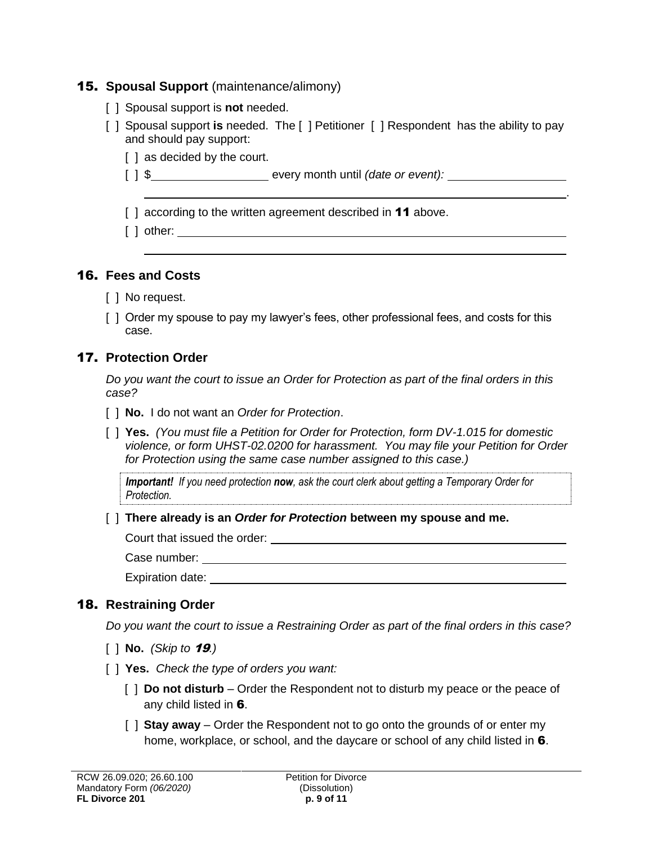## 15. **Spousal Support** (maintenance/alimony)

- [ ] Spousal support is **not** needed.
- [ ] Spousal support **is** needed. The [ ] Petitioner [ ] Respondent has the ability to pay and should pay support:

.

- [ ] as decided by the court.
- [ ] \$ every month until *(date or event):*
- [ ] according to the written agreement described in **11** above.
- [ ] other:

## 16. **Fees and Costs**

- [ ] No request.
- [ ] Order my spouse to pay my lawyer's fees, other professional fees, and costs for this case.

# 17. **Protection Order**

*Do you want the court to issue an Order for Protection as part of the final orders in this case?*

- [ ] **No.**I do not want an *Order for Protection*.
- [ ] **Yes.** *(You must file a Petition for Order for Protection, form DV-1.015 for domestic violence, or form UHST-02.0200 for harassment. You may file your Petition for Order for Protection using the same case number assigned to this case.)*

*Important! If you need protection now, ask the court clerk about getting a Temporary Order for Protection.*

[ ] **There already is an** *Order for Protection* **between my spouse and me.**

Court that issued the order:

Case number:

Expiration date:

# 18. **Restraining Order**

*Do you want the court to issue a Restraining Order as part of the final orders in this case?* 

- [ ] **No.** *(Skip to* 19*.)*
- [ ] **Yes.** *Check the type of orders you want:*
	- [ ] **Do not disturb**  Order the Respondent not to disturb my peace or the peace of any child listed in 6.
	- [ ] **Stay away** Order the Respondent not to go onto the grounds of or enter my home, workplace, or school, and the daycare or school of any child listed in 6.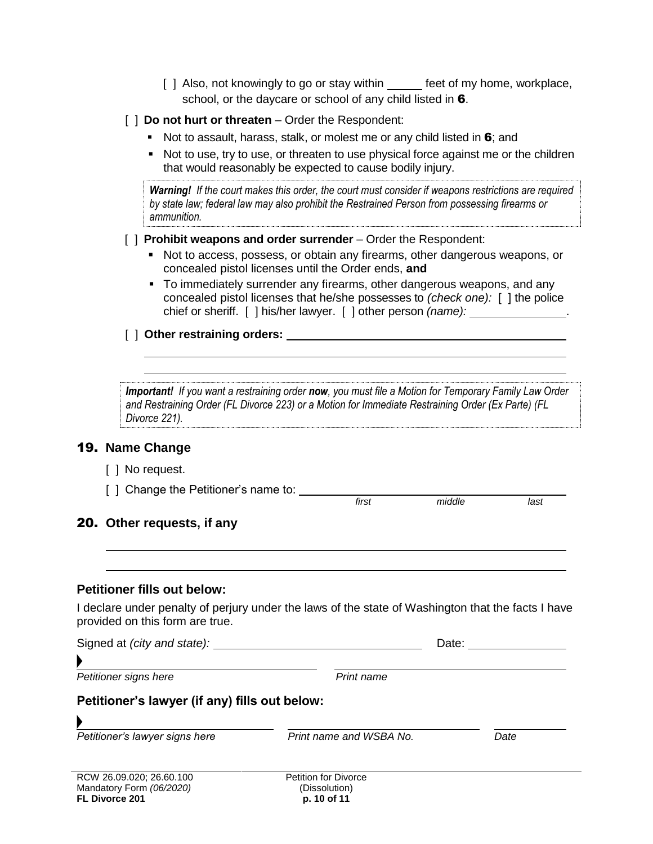[ ] Also, not knowingly to go or stay within feet of my home, workplace, school, or the daycare or school of any child listed in 6.

#### [  $\vert$  **Do not hurt or threaten** – Order the Respondent:

- Not to assault, harass, stalk, or molest me or any child listed in  $6$ ; and
- Not to use, try to use, or threaten to use physical force against me or the children that would reasonably be expected to cause bodily injury.

*Warning! If the court makes this order, the court must consider if weapons restrictions are required by state law; federal law may also prohibit the Restrained Person from possessing firearms or ammunition.* 

#### [  $\parallel$  **Prohibit weapons and order surrender** – Order the Respondent:

- Not to access, possess, or obtain any firearms, other dangerous weapons, or concealed pistol licenses until the Order ends, **and**
- To immediately surrender any firearms, other dangerous weapons, and any concealed pistol licenses that he/she possesses to *(check one):* [ ] the police chief or sheriff. [ ] his/her lawyer. [ ] other person *(name):* .

#### [ ] **Other restraining orders:**

*Important! If you want a restraining order now, you must file a Motion for Temporary Family Law Order and Restraining Order (FL Divorce 223) or a Motion for Immediate Restraining Order (Ex Parte) (FL Divorce 221).*

*first middle last*

#### 19. **Name Change**

- [ ] No request.
- [ ] Change the Petitioner's name to: \_\_\_\_\_\_\_\_

#### 20. **Other requests, if any**

#### **Petitioner fills out below:**

I declare under penalty of perjury under the laws of the state of Washington that the facts I have provided on this form are true.

| Signed at <i>(city and state):</i>            |                         | Date: |  |
|-----------------------------------------------|-------------------------|-------|--|
|                                               |                         |       |  |
| Petitioner signs here                         | Print name              |       |  |
| Petitioner's lawyer (if any) fills out below: |                         |       |  |
|                                               |                         |       |  |
| Petitioner's lawyer signs here                | Print name and WSBA No. | Date  |  |